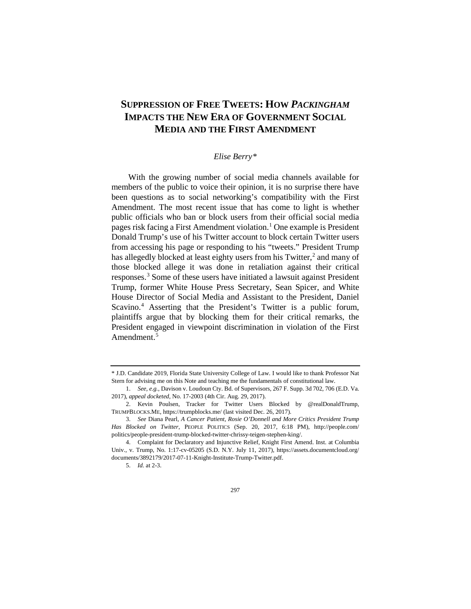# **SUPPRESSION OF FREE TWEETS: HOW** *PACKINGHAM* **IMPACTS THE NEW ERA OF GOVERNMENT SOCIAL MEDIA AND THE FIRST AMENDMENT**

# *Elise Berry[\\*](#page-0-0)*

With the growing number of social media channels available for members of the public to voice their opinion, it is no surprise there have been questions as to social networking's compatibility with the First Amendment. The most recent issue that has come to light is whether public officials who ban or block users from their official social media pages risk facing a First Amendment violation.<sup>[1](#page-0-1)</sup> One example is President Donald Trump's use of his Twitter account to block certain Twitter users from accessing his page or responding to his "tweets." President Trump has allegedly blocked at least eighty users from his Twitter, $<sup>2</sup>$  $<sup>2</sup>$  $<sup>2</sup>$  and many of</sup> those blocked allege it was done in retaliation against their critical responses.[3](#page-0-3) Some of these users have initiated a lawsuit against President Trump, former White House Press Secretary, Sean Spicer, and White House Director of Social Media and Assistant to the President, Daniel Scavino.<sup>[4](#page-0-4)</sup> Asserting that the President's Twitter is a public forum, plaintiffs argue that by blocking them for their critical remarks, the President engaged in viewpoint discrimination in violation of the First Amendment.<sup>[5](#page-0-5)</sup>

<span id="page-0-6"></span><span id="page-0-0"></span><sup>\*</sup> J.D. Candidate 2019, Florida State University College of Law. I would like to thank Professor Nat Stern for advising me on this Note and teaching me the fundamentals of constitutional law.

<span id="page-0-1"></span><sup>1.</sup> *See, e.g.*, Davison v. Loudoun Cty. Bd. of Supervisors, 267 F. Supp. 3d 702, 706 (E.D. Va. 2017), *appeal docketed,* No. 17-2003 (4th Cir. Aug. 29, 2017).

<span id="page-0-2"></span><sup>2.</sup> Kevin Poulsen, Tracker for Twitter Users Blocked by @realDonaldTrump, TRUMPBLOCKS.ME, https://trumpblocks.me/ (last visited Dec. 26, 2017).

<span id="page-0-3"></span><sup>3.</sup> *See* Diana Pearl, *A Cancer Patient, Rosie O'Donnell and More Critics President Trump Has Blocked on Twitter*, PEOPLE POLITICS (Sep. 20, 2017, 6:18 PM), http://people.com/ politics/people-president-trump-blocked-twitter-chrissy-teigen-stephen-king/.

<span id="page-0-5"></span><span id="page-0-4"></span><sup>4.</sup> Complaint for Declaratory and Injunctive Relief, Knight First Amend. Inst. at Columbia Univ., v. Trump, No. 1:17-cv-05205 (S.D. N.Y. July 11, 2017), https://assets.documentcloud.org/ documents/3892179/2017-07-11-Knight-Institute-Trump-Twitter.pdf.

<sup>5.</sup> *Id.* at 2-3.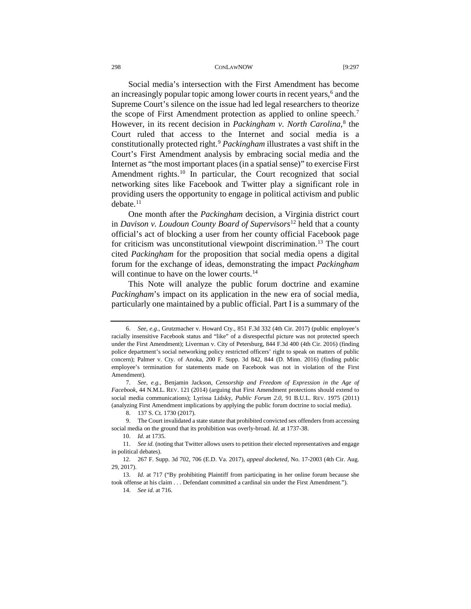<span id="page-1-9"></span>Social media's intersection with the First Amendment has become an increasingly popular topic among lower courts in recent years,<sup>6</sup> and the Supreme Court's silence on the issue had led legal researchers to theorize the scope of First Amendment protection as applied to online speech.<sup>7</sup> However, in its recent decision in *Packingham v. North Carolina*, [8](#page-1-2) the Court ruled that access to the Internet and social media is a constitutionally protected right.[9](#page-1-3) *Packingham* illustrates a vast shift in the Court's First Amendment analysis by embracing social media and the Internet as "the most important places (in a spatial sense)" to exercise First Amendment rights.<sup>[10](#page-1-4)</sup> In particular, the Court recognized that social networking sites like Facebook and Twitter play a significant role in providing users the opportunity to engage in political activism and public debate.<sup>[11](#page-1-5)</sup>

One month after the *Packingham* decision, a Virginia district court in *Davison v. Loudoun County Board of Supervisors*[12](#page-1-6) held that a county official's act of blocking a user from her county official Facebook page for criticism was unconstitutional viewpoint discrimination.<sup>[13](#page-1-7)</sup> The court cited *Packingham* for the proposition that social media opens a digital forum for the exchange of ideas, demonstrating the impact *Packingham* will continue to have on the lower courts.<sup>[14](#page-1-8)</sup>

This Note will analyze the public forum doctrine and examine *Packingham*'s impact on its application in the new era of social media, particularly one maintained by a public official. Part I is a summary of the

<span id="page-1-0"></span><sup>6.</sup> *See, e.g.*, Grutzmacher v. Howard Cty., 851 F.3d 332 (4th Cir. 2017) (public employee's racially insensitive Facebook status and "like" of a disrespectful picture was not protected speech under the First Amendment); Liverman v. City of Petersburg, 844 F.3d 400 (4th Cir. 2016) (finding police department's social networking policy restricted officers' right to speak on matters of public concern); Palmer v. Cty. of Anoka, 200 F. Supp. 3d 842, 844 (D. Minn. 2016) (finding public employee's termination for statements made on Facebook was not in violation of the First Amendment).

<span id="page-1-1"></span><sup>7.</sup> *See, e.g.*, Benjamin Jackson, *Censorship and Freedom of Expression in the Age of Facebook*, 44 N.M.L. REV. 121 (2014) (arguing that First Amendment protections should extend to social media communications); Lyrissa Lidsky, *Public Forum 2.0*, 91 B.U.L. REV. 1975 (2011) (analyzing First Amendment implications by applying the public forum doctrine to social media).

<sup>8.</sup> 137 S. Ct. 1730 (2017).

<span id="page-1-3"></span><span id="page-1-2"></span><sup>9.</sup> The Court invalidated a state statute that prohibited convicted sex offenders from accessing social media on the ground that its prohibition was overly-broad. *Id.* at 1737-38.

<sup>10.</sup> *Id.* at 1735.

<span id="page-1-5"></span><span id="page-1-4"></span><sup>11.</sup> *See id.* (noting that Twitter allows users to petition their elected representatives and engage in political debates).

<span id="page-1-6"></span><sup>12.</sup> 267 F. Supp. 3d 702, 706 (E.D. Va. 2017), *appeal docketed,* No. 17-2003 (4th Cir. Aug. 29, 2017).

<span id="page-1-8"></span><span id="page-1-7"></span><sup>13.</sup> *Id.* at 717 ("By prohibiting Plaintiff from participating in her online forum because she took offense at his claim . . . Defendant committed a cardinal sin under the First Amendment.").

<sup>14.</sup> *See id.* at 716.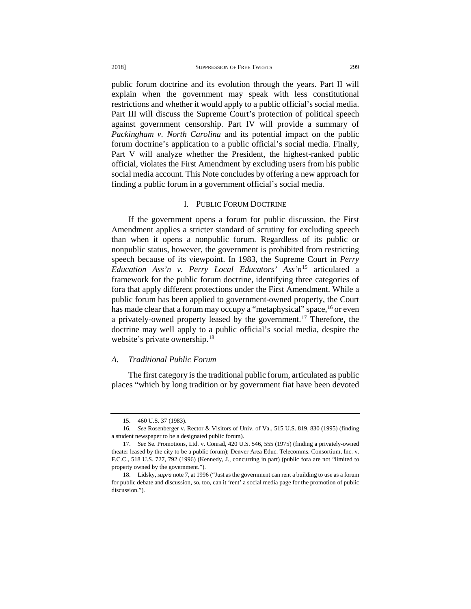public forum doctrine and its evolution through the years. Part II will explain when the government may speak with less constitutional restrictions and whether it would apply to a public official's social media. Part III will discuss the Supreme Court's protection of political speech against government censorship. Part IV will provide a summary of *Packingham v. North Carolina* and its potential impact on the public forum doctrine's application to a public official's social media. Finally, Part V will analyze whether the President, the highest-ranked public official, violates the First Amendment by excluding users from his public social media account. This Note concludes by offering a new approach for finding a public forum in a government official's social media.

# I. PUBLIC FORUM DOCTRINE

If the government opens a forum for public discussion, the First Amendment applies a stricter standard of scrutiny for excluding speech than when it opens a nonpublic forum. Regardless of its public or nonpublic status, however, the government is prohibited from restricting speech because of its viewpoint. In 1983, the Supreme Court in *Perry Education Ass'n v. Perry Local Educators' Ass'n*[15](#page-2-0) articulated a framework for the public forum doctrine, identifying three categories of fora that apply different protections under the First Amendment. While a public forum has been applied to government-owned property, the Court has made clear that a forum may occupy a "metaphysical" space, <sup>[16](#page-2-1)</sup> or even a privately-owned property leased by the government.[17](#page-2-2) Therefore, the doctrine may well apply to a public official's social media, despite the website's private ownership.<sup>[18](#page-2-3)</sup>

# *A. Traditional Public Forum*

The first category is the traditional public forum, articulated as public places "which by long tradition or by government fiat have been devoted

<sup>15.</sup> 460 U.S. 37 (1983).

<span id="page-2-1"></span><span id="page-2-0"></span><sup>16.</sup> *See* Rosenberger v. Rector & Visitors of Univ. of Va., 515 U.S. 819, 830 (1995) (finding a student newspaper to be a designated public forum).

<span id="page-2-2"></span><sup>17.</sup> *See* Se. Promotions, Ltd. v. Conrad, 420 U.S. 546, 555 (1975) (finding a privately-owned theater leased by the city to be a public forum); Denver Area Educ. Telecomms. Consortium, Inc. v. F.C.C., 518 U.S. 727, 792 (1996) (Kennedy, J., concurring in part) (public fora are not "limited to property owned by the government.").

<span id="page-2-3"></span><sup>18.</sup> Lidsky, *supra* note 7, at 1996 ("Just as the government can rent a building to use as a forum for public debate and discussion, so, too, can it 'rent' a social media page for the promotion of public discussion.").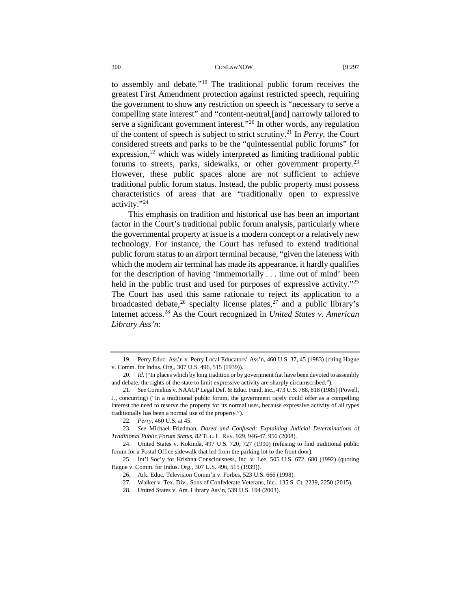to assembly and debate."[19](#page-3-0) The traditional public forum receives the greatest First Amendment protection against restricted speech, requiring the government to show any restriction on speech is "necessary to serve a compelling state interest" and "content-neutral,[and] narrowly tailored to serve a significant government interest."<sup>[20](#page-3-1)</sup> In other words, any regulation of the content of speech is subject to strict scrutiny.[21](#page-3-2) In *Perry*, the Court considered streets and parks to be the "quintessential public forums" for expression, $^{22}$  $^{22}$  $^{22}$  which was widely interpreted as limiting traditional public forums to streets, parks, sidewalks, or other government property.<sup>[23](#page-3-4)</sup> However, these public spaces alone are not sufficient to achieve traditional public forum status. Instead, the public property must possess characteristics of areas that are "traditionally open to expressive activity."[24](#page-3-5)

This emphasis on tradition and historical use has been an important factor in the Court's traditional public forum analysis, particularly where the governmental property at issue is a modern concept or a relatively new technology. For instance, the Court has refused to extend traditional public forum status to an airport terminal because, "given the lateness with which the modern air terminal has made its appearance, it hardly qualifies for the description of having 'immemorially . . . time out of mind' been held in the public trust and used for purposes of expressive activity."<sup>[25](#page-3-6)</sup> The Court has used this same rationale to reject its application to a broadcasted debate,  $^{26}$  specialty license plates,  $^{27}$  $^{27}$  $^{27}$  and a public library's Internet access.[28](#page-3-9) As the Court recognized in *United States v. American Library Ass'n*:

<span id="page-3-0"></span><sup>19.</sup> Perry Educ. Ass'n v. Perry Local Educators' Ass'n, 460 U.S. 37, 45 (1983) (citing Hague v. Comm. for Indus. Org., 307 U.S. 496, 515 (1939)).

<span id="page-3-1"></span><sup>20.</sup> *Id.* ("In places which by long tradition or by government fiat have been devoted to assembly and debate, the rights of the state to limit expressive activity are sharply circumscribed.").

<span id="page-3-2"></span><sup>21.</sup> *See* Cornelius v. NAACP Legal Def. & Educ. Fund, Inc., 473 U.S. 788, 818 (1985) (Powell, J., concurring) ("In a traditional public forum, the government rarely could offer as a compelling interest the need to reserve the property for its normal uses, because expressive activity of all types traditionally has been a normal use of the property.").

<sup>22.</sup> *Perry*, 460 U.S. at 45.

<span id="page-3-4"></span><span id="page-3-3"></span><sup>23.</sup> *See* Michael Friedman, *Dazed and Confused: Explaining Judicial Determinations of Traditional Public Forum Status*, 82 TUL. L. REV. 929, 946-47, 956 (2008).

<span id="page-3-5"></span><sup>24.</sup> United States v. Kokinda, 497 U.S. 720, 727 (1990) (refusing to find traditional public forum for a Postal Office sidewalk that led from the parking lot to the front door).

<span id="page-3-9"></span><span id="page-3-8"></span><span id="page-3-7"></span><span id="page-3-6"></span><sup>25.</sup> Int'l Soc'y for Krishna Consciousness, Inc. v. Lee, 505 U.S. 672, 680 (1992) (quoting Hague v. Comm. for Indus. Org., 307 U.S. 496, 515 (1939)).

<sup>26.</sup> Ark. Educ. Television Comm'n v. Forbes, 523 U.S. 666 (1998).

<sup>27.</sup> Walker v. Tex. Div., Sons of Confederate Veterans, Inc., 135 S. Ct. 2239, 2250 (2015).

<sup>28.</sup> United States v. Am. Library Ass'n, 539 U.S. 194 (2003).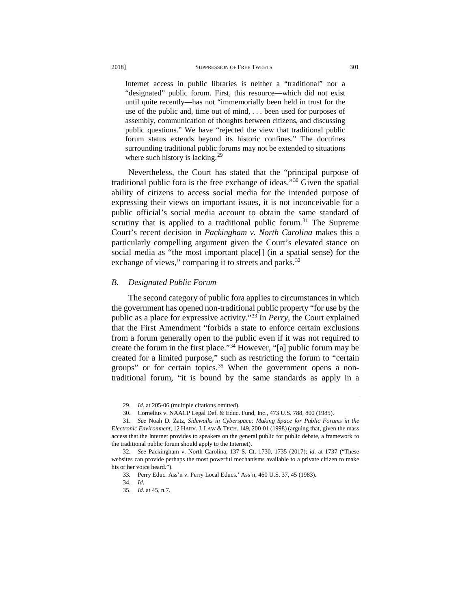Internet access in public libraries is neither a "traditional" nor a "designated" public forum. First, this resource—which did not exist until quite recently—has not "immemorially been held in trust for the use of the public and, time out of mind, . . . been used for purposes of assembly, communication of thoughts between citizens, and discussing public questions." We have "rejected the view that traditional public forum status extends beyond its historic confines." The doctrines surrounding traditional public forums may not be extended to situations where such history is lacking.<sup>[29](#page-4-0)</sup>

Nevertheless, the Court has stated that the "principal purpose of traditional public fora is the free exchange of ideas."[30](#page-4-1) Given the spatial ability of citizens to access social media for the intended purpose of expressing their views on important issues, it is not inconceivable for a public official's social media account to obtain the same standard of scrutiny that is applied to a traditional public forum.<sup>[31](#page-4-2)</sup> The Supreme Court's recent decision in *Packingham v. North Carolina* makes this a particularly compelling argument given the Court's elevated stance on social media as "the most important place[] (in a spatial sense) for the exchange of views," comparing it to streets and parks.<sup>[32](#page-4-3)</sup>

# *B. Designated Public Forum*

The second category of public fora applies to circumstances in which the government has opened non-traditional public property "for use by the public as a place for expressive activity.["33](#page-4-4) In *Perry*, the Court explained that the First Amendment "forbids a state to enforce certain exclusions from a forum generally open to the public even if it was not required to create the forum in the first place."[34](#page-4-5) However, "[a] public forum may be created for a limited purpose," such as restricting the forum to "certain groups" or for certain topics.<sup>[35](#page-4-6)</sup> When the government opens a nontraditional forum, "it is bound by the same standards as apply in a

<sup>29.</sup> *Id.* at 205-06 (multiple citations omitted).

<sup>30.</sup> Cornelius v. NAACP Legal Def. & Educ. Fund, Inc., 473 U.S. 788, 800 (1985).

<span id="page-4-2"></span><span id="page-4-1"></span><span id="page-4-0"></span><sup>31.</sup> *See* Noah D. Zatz, *Sidewalks in Cyberspace: Making Space for Public Forums in the Electronic Environment*, 12 HARV. J. LAW & TECH. 149, 200-01 (1998) (arguing that, given the mass access that the Internet provides to speakers on the general public for public debate, a framework to the traditional public forum should apply to the Internet).

<span id="page-4-6"></span><span id="page-4-5"></span><span id="page-4-4"></span><span id="page-4-3"></span><sup>32.</sup> *See* Packingham v. North Carolina, 137 S. Ct. 1730, 1735 (2017); *id.* at 1737 ("These websites can provide perhaps the most powerful mechanisms available to a private citizen to make his or her voice heard.").

<sup>33</sup>*.* Perry Educ. Ass'n v. Perry Local Educs.' Ass'n, 460 U.S. 37, 45 (1983).

<sup>34.</sup> *Id.*

<sup>35.</sup> *Id.* at 45, n.7.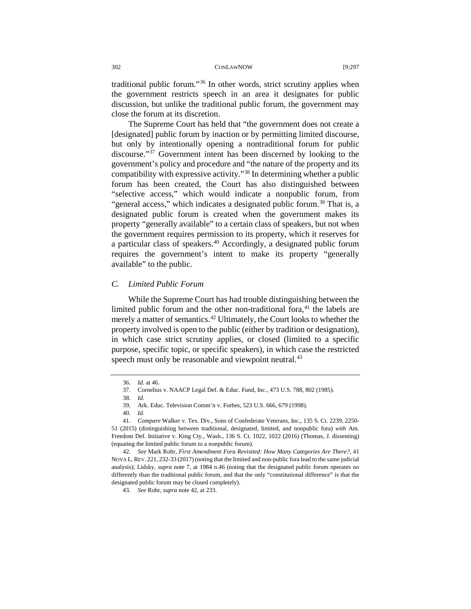traditional public forum."[36](#page-5-0) In other words, strict scrutiny applies when the government restricts speech in an area it designates for public discussion, but unlike the traditional public forum, the government may close the forum at its discretion.

The Supreme Court has held that "the government does not create a [designated] public forum by inaction or by permitting limited discourse, but only by intentionally opening a nontraditional forum for public discourse."[37](#page-5-1) Government intent has been discerned by looking to the government's policy and procedure and "the nature of the property and its compatibility with expressive activity."[38](#page-5-2) In determining whether a public forum has been created, the Court has also distinguished between "selective access," which would indicate a nonpublic forum, from "general access," which indicates a designated public forum.<sup>39</sup> That is, a designated public forum is created when the government makes its property "generally available" to a certain class of speakers, but not when the government requires permission to its property, which it reserves for a particular class of speakers.<sup>[40](#page-5-4)</sup> Accordingly, a designated public forum requires the government's intent to make its property "generally available" to the public.

# *C. Limited Public Forum*

While the Supreme Court has had trouble distinguishing between the limited public forum and the other non-traditional fora, $41$  the labels are merely a matter of semantics.<sup>[42](#page-5-6)</sup> Ultimately, the Court looks to whether the property involved is open to the public (either by tradition or designation), in which case strict scrutiny applies, or closed (limited to a specific purpose, specific topic, or specific speakers), in which case the restricted speech must only be reasonable and viewpoint neutral.<sup>[43](#page-5-7)</sup>

<sup>36.</sup> *Id.* at 46.

<sup>37.</sup> Cornelius v. NAACP Legal Def. & Educ. Fund, Inc., 473 U.S. 788, 802 (1985)*.*

<sup>38.</sup> *Id.*

<sup>39.</sup> Ark. Educ. Television Comm'n v. Forbes, 523 U.S. 666, 679 (1998).

<sup>40.</sup> *Id.*

<span id="page-5-5"></span><span id="page-5-4"></span><span id="page-5-3"></span><span id="page-5-2"></span><span id="page-5-1"></span><span id="page-5-0"></span><sup>41.</sup> *Compare* Walker v. Tex. Div., Sons of Confederate Veterans, Inc., 135 S. Ct. 2239, 2250- 51 (2015) (distinguishing between traditional, designated, limited, and nonpublic fora) *with* Am. Freedom Def. Initiative v. King Cty., Wash., 136 S. Ct. 1022, 1022 (2016) (Thomas, J. dissenting) (equating the limited public forum to a nonpublic forum).

<span id="page-5-7"></span><span id="page-5-6"></span><sup>42.</sup> *See* Mark Rohr, *First Amendment Fora Revisited: How Many Categories Are There?*, 41 NOVA L. REV. 221, 232-33 (2017)(noting that the limited and non-public fora lead to the same judicial analysis); Lidsky, *supra* note [7,](#page-1-9) at 1984 n.46 (noting that the designated public forum operates no differently than the traditional public forum, and that the only "constitutional difference" is that the designated public forum may be closed completely).

<sup>43.</sup> *See* Rohr, *supra* note 42, at 233.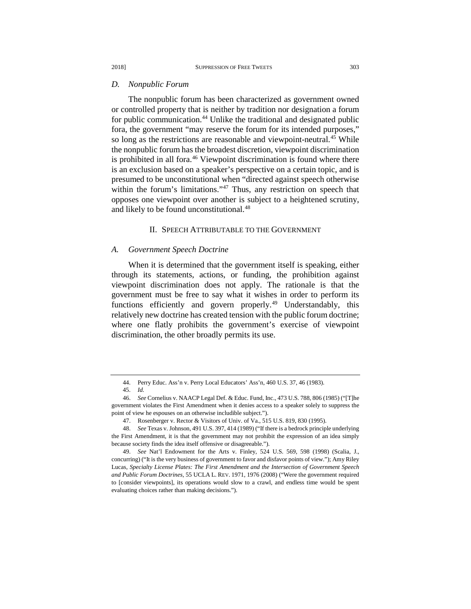#### *D. Nonpublic Forum*

The nonpublic forum has been characterized as government owned or controlled property that is neither by tradition nor designation a forum for public communication.<sup>[44](#page-6-0)</sup> Unlike the traditional and designated public fora, the government "may reserve the forum for its intended purposes," so long as the restrictions are reasonable and viewpoint-neutral.<sup>[45](#page-6-1)</sup> While the nonpublic forum has the broadest discretion, viewpoint discrimination is prohibited in all fora.<sup>[46](#page-6-2)</sup> Viewpoint discrimination is found where there is an exclusion based on a speaker's perspective on a certain topic, and is presumed to be unconstitutional when "directed against speech otherwise within the forum's limitations."<sup>[47](#page-6-3)</sup> Thus, any restriction on speech that opposes one viewpoint over another is subject to a heightened scrutiny, and likely to be found unconstitutional.<sup>[48](#page-6-4)</sup>

# II. SPEECH ATTRIBUTABLE TO THE GOVERNMENT

#### *A. Government Speech Doctrine*

When it is determined that the government itself is speaking, either through its statements, actions, or funding, the prohibition against viewpoint discrimination does not apply. The rationale is that the government must be free to say what it wishes in order to perform its functions efficiently and govern properly.<sup>[49](#page-6-5)</sup> Understandably, this relatively new doctrine has created tension with the public forum doctrine; where one flatly prohibits the government's exercise of viewpoint discrimination, the other broadly permits its use.

<sup>44.</sup> Perry Educ. Ass'n v. Perry Local Educators' Ass'n, 460 U.S. 37, 46 (1983).

<sup>45.</sup> *Id.*

<span id="page-6-2"></span><span id="page-6-1"></span><span id="page-6-0"></span><sup>46.</sup> *See* Cornelius v. NAACP Legal Def. & Educ. Fund, Inc., 473 U.S. 788, 806 (1985) ("[T]he government violates the First Amendment when it denies access to a speaker solely to suppress the point of view he espouses on an otherwise includible subject.").

<sup>47.</sup> Rosenberger v. Rector & Visitors of Univ. of Va., 515 U.S. 819, 830 (1995).

<span id="page-6-4"></span><span id="page-6-3"></span><sup>48.</sup> *See* Texas v. Johnson, 491 U.S. 397, 414 (1989) ("If there is a bedrock principle underlying the First Amendment, it is that the government may not prohibit the expression of an idea simply because society finds the idea itself offensive or disagreeable.").

<span id="page-6-5"></span><sup>49.</sup> *See* Nat'l Endowment for the Arts v. Finley, 524 U.S. 569, 598 (1998) (Scalia, J., concurring) ("It is the very business of government to favor and disfavor points of view."); Amy Riley Lucas, *Specialty License Plates: The First Amendment and the Intersection of Government Speech and Public Forum Doctrines*, 55 UCLA L. REV. 1971, 1976 (2008) ("Were the government required to [consider viewpoints], its operations would slow to a crawl, and endless time would be spent evaluating choices rather than making decisions.").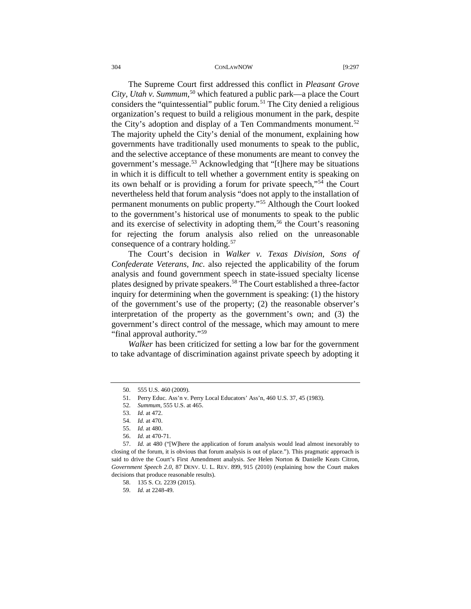The Supreme Court first addressed this conflict in *Pleasant Grove City, Utah v. Summum*, [50](#page-7-0) which featured a public park—a place the Court considers the "quintessential" public forum.<sup>[51](#page-7-1)</sup> The City denied a religious organization's request to build a religious monument in the park, despite the City's adoption and display of a Ten Commandments monument.<sup>[52](#page-7-2)</sup> The majority upheld the City's denial of the monument, explaining how governments have traditionally used monuments to speak to the public, and the selective acceptance of these monuments are meant to convey the government's message.[53](#page-7-3) Acknowledging that "[t]here may be situations in which it is difficult to tell whether a government entity is speaking on its own behalf or is providing a forum for private speech,"[54](#page-7-4) the Court nevertheless held that forum analysis "does not apply to the installation of permanent monuments on public property."[55](#page-7-5) Although the Court looked to the government's historical use of monuments to speak to the public and its exercise of selectivity in adopting them,<sup>[56](#page-7-6)</sup> the Court's reasoning for rejecting the forum analysis also relied on the unreasonable consequence of a contrary holding.<sup>[57](#page-7-7)</sup>

The Court's decision in *Walker v. Texas Division, Sons of Confederate Veterans, Inc.* also rejected the applicability of the forum analysis and found government speech in state-issued specialty license plates designed by private speakers.<sup>58</sup> The Court established a three-factor inquiry for determining when the government is speaking: (1) the history of the government's use of the property; (2) the reasonable observer's interpretation of the property as the government's own; and (3) the government's direct control of the message, which may amount to mere "final approval authority."<sup>[59](#page-7-9)</sup>

*Walker* has been criticized for setting a low bar for the government to take advantage of discrimination against private speech by adopting it

<span id="page-7-0"></span><sup>50.</sup> 555 U.S. 460 (2009).

<sup>51.</sup> Perry Educ. Ass'n v. Perry Local Educators' Ass'n, 460 U.S. 37, 45 (1983).

<sup>52.</sup> *Summum*, 555 U.S. at 465.

<sup>53.</sup> *Id.* at 472.

<sup>54.</sup> *Id.* at 470.

<sup>55.</sup> *Id.* at 480.

<sup>56.</sup> *Id.* at 470-71.

<span id="page-7-9"></span><span id="page-7-8"></span><span id="page-7-7"></span><span id="page-7-6"></span><span id="page-7-5"></span><span id="page-7-4"></span><span id="page-7-3"></span><span id="page-7-2"></span><span id="page-7-1"></span><sup>57.</sup> *Id.* at 480 ("[W]here the application of forum analysis would lead almost inexorably to closing of the forum, it is obvious that forum analysis is out of place."). This pragmatic approach is said to drive the Court's First Amendment analysis. *See* Helen Norton & Danielle Keats Citron, *Government Speech 2.0*, 87 DENV. U. L. REV. 899, 915 (2010) (explaining how the Court makes decisions that produce reasonable results).

<sup>58.</sup> 135 S. Ct. 2239 (2015).

<sup>59.</sup> *Id.* at 2248-49.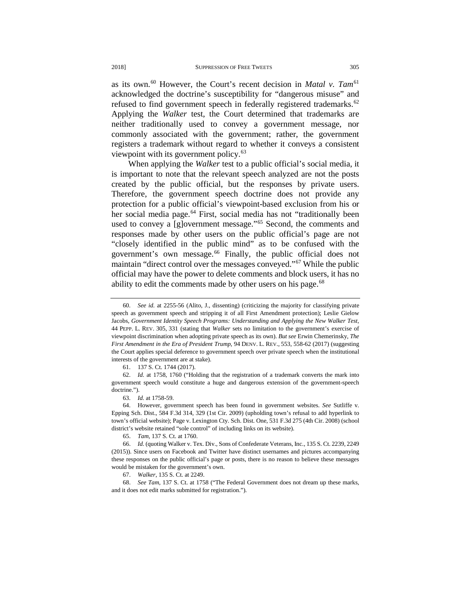as its own.<sup>[60](#page-8-0)</sup> However, the Court's recent decision in *Matal v. Tam*<sup>[61](#page-8-1)</sup> acknowledged the doctrine's susceptibility for "dangerous misuse" and refused to find government speech in federally registered trademarks.<sup>[62](#page-8-2)</sup> Applying the *Walker* test, the Court determined that trademarks are neither traditionally used to convey a government message, nor commonly associated with the government; rather, the government registers a trademark without regard to whether it conveys a consistent viewpoint with its government policy.<sup>[63](#page-8-3)</sup>

When applying the *Walker* test to a public official's social media, it is important to note that the relevant speech analyzed are not the posts created by the public official, but the responses by private users. Therefore, the government speech doctrine does not provide any protection for a public official's viewpoint-based exclusion from his or her social media page.<sup>[64](#page-8-4)</sup> First, social media has not "traditionally been used to convey a [g]overnment message."<sup>[65](#page-8-5)</sup> Second, the comments and responses made by other users on the public official's page are not "closely identified in the public mind" as to be confused with the government's own message.<sup>[66](#page-8-6)</sup> Finally, the public official does not maintain "direct control over the messages conveyed."[67](#page-8-7) While the public official may have the power to delete comments and block users, it has no ability to edit the comments made by other users on his page.<sup>[68](#page-8-8)</sup>

61. 137 S. Ct. 1744 (2017).

<span id="page-8-2"></span><span id="page-8-1"></span>62. *Id.* at 1758, 1760 ("Holding that the registration of a trademark converts the mark into government speech would constitute a huge and dangerous extension of the government-speech doctrine.").

63. *Id.* at 1758-59.

<span id="page-8-4"></span><span id="page-8-3"></span>64. However, government speech has been found in government websites. *See* Sutliffe v. Epping Sch. Dist., 584 F.3d 314, 329 (1st Cir. 2009) (upholding town's refusal to add hyperlink to town's official website); Page v. Lexington Cty. Sch. Dist. One, 531 F.3d 275 (4th Cir. 2008) (school district's website retained "sole control" of including links on its website).

65. *Tam,* 137 S. Ct. at 1760.

<span id="page-8-6"></span><span id="page-8-5"></span>66. *Id.* (quoting Walker v. Tex. Div., Sons of Confederate Veterans, Inc., 135 S. Ct. 2239, 2249 (2015)). Since users on Facebook and Twitter have distinct usernames and pictures accompanying these responses on the public official's page or posts, there is no reason to believe these messages would be mistaken for the government's own.

67. *Walker*, 135 S. Ct. at 2249.

<span id="page-8-8"></span><span id="page-8-7"></span>68. *See Tam*, 137 S. Ct. at 1758 ("The Federal Government does not dream up these marks, and it does not edit marks submitted for registration.").

<span id="page-8-0"></span><sup>60.</sup> *See id.* at 2255-56 (Alito, J., dissenting) (criticizing the majority for classifying private speech as government speech and stripping it of all First Amendment protection); Leslie Gielow Jacobs, *Government Identity Speech Programs: Understanding and Applying the New Walker Test*, 44 PEPP. L. REV. 305, 331 (stating that *Walker* sets no limitation to the government's exercise of viewpoint discrimination when adopting private speech as its own). *But see* Erwin Chemerinsky, *The First Amendment in the Era of President Trump*, 94 DENV. L. REV., 553, 558-62 (2017) (suggesting the Court applies special deference to government speech over private speech when the institutional interests of the government are at stake).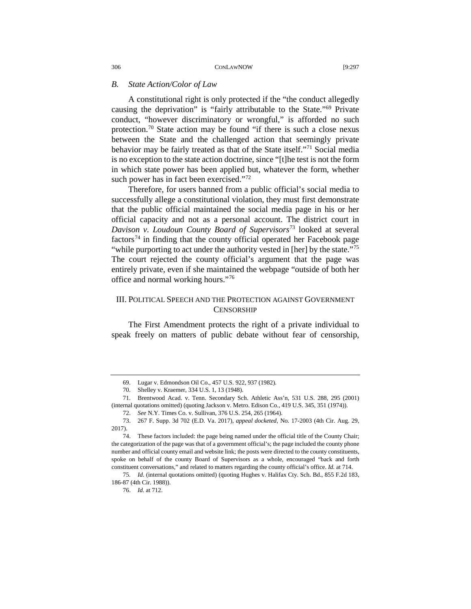### *B. State Action/Color of Law*

A constitutional right is only protected if the "the conduct allegedly causing the deprivation" is "fairly attributable to the State."[69](#page-9-0) Private conduct, "however discriminatory or wrongful," is afforded no such protection.[70](#page-9-1) State action may be found "if there is such a close nexus between the State and the challenged action that seemingly private behavior may be fairly treated as that of the State itself."[71](#page-9-2) Social media is no exception to the state action doctrine, since "[t]he test is not the form in which state power has been applied but, whatever the form, whether such power has in fact been exercised."<sup>[72](#page-9-3)</sup>

Therefore, for users banned from a public official's social media to successfully allege a constitutional violation, they must first demonstrate that the public official maintained the social media page in his or her official capacity and not as a personal account. The district court in *Davison v. Loudoun County Board of Supervisors*[73](#page-9-4) looked at several factors<sup>[74](#page-9-5)</sup> in finding that the county official operated her Facebook page "while purporting to act under the authority vested in [her] by the state."<sup>[75](#page-9-6)</sup> The court rejected the county official's argument that the page was entirely private, even if she maintained the webpage "outside of both her office and normal working hours."[76](#page-9-7)

# III. POLITICAL SPEECH AND THE PROTECTION AGAINST GOVERNMENT **CENSORSHIP**

The First Amendment protects the right of a private individual to speak freely on matters of public debate without fear of censorship,

<sup>69.</sup> Lugar v. Edmondson Oil Co., 457 U.S. 922, 937 (1982).

<sup>70.</sup> Shelley v. Kraemer, 334 U.S. 1, 13 (1948).

<span id="page-9-2"></span><span id="page-9-1"></span><span id="page-9-0"></span><sup>71.</sup> Brentwood Acad. v. Tenn. Secondary Sch. Athletic Ass'n, 531 U.S. 288, 295 (2001) (internal quotations omitted) (quoting Jackson v. Metro. Edison Co., 419 U.S. 345, 351 (1974)).

<sup>72.</sup> *See* N.Y. Times Co. v. Sullivan, 376 U.S. 254, 265 (1964).

<span id="page-9-4"></span><span id="page-9-3"></span><sup>73.</sup> 267 F. Supp. 3d 702 (E.D. Va. 2017), *appeal docketed,* No. 17-2003 (4th Cir. Aug. 29, 2017).

<span id="page-9-5"></span><sup>74.</sup> These factors included: the page being named under the official title of the County Chair; the categorization of the page was that of a government official's; the page included the county phone number and official county email and website link; the posts were directed to the county constituents, spoke on behalf of the county Board of Supervisors as a whole, encouraged "back and forth constituent conversations," and related to matters regarding the county official's office. *Id.* at 714.

<span id="page-9-7"></span><span id="page-9-6"></span><sup>75</sup>*. Id.* (internal quotations omitted) (quoting Hughes v. Halifax Cty. Sch. Bd., 855 F.2d 183, 186-87 (4th Cir. 1988)).

<sup>76.</sup> *Id.* at 712.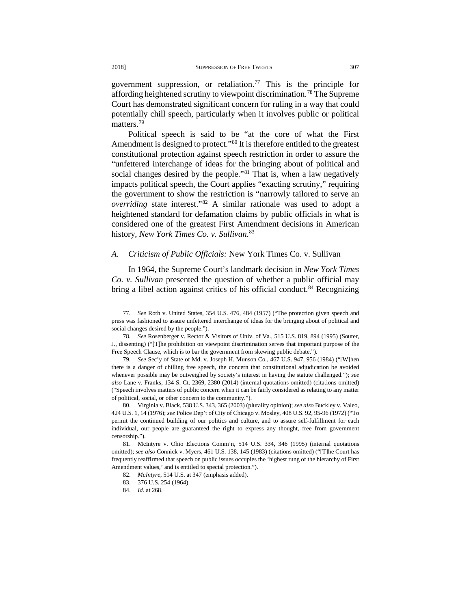government suppression, or retaliation.<sup>[77](#page-10-0)</sup> This is the principle for affording heightened scrutiny to viewpoint discrimination[.78](#page-10-1) The Supreme Court has demonstrated significant concern for ruling in a way that could potentially chill speech, particularly when it involves public or political matters.<sup>[79](#page-10-2)</sup>

Political speech is said to be "at the core of what the First Amendment is designed to protect."<sup>[80](#page-10-3)</sup> It is therefore entitled to the greatest constitutional protection against speech restriction in order to assure the "unfettered interchange of ideas for the bringing about of political and social changes desired by the people."<sup>[81](#page-10-4)</sup> That is, when a law negatively impacts political speech, the Court applies "exacting scrutiny," requiring the government to show the restriction is "narrowly tailored to serve an *overriding* state interest."[82](#page-10-5) A similar rationale was used to adopt a heightened standard for defamation claims by public officials in what is considered one of the greatest First Amendment decisions in American history, *New York Times Co. v. Sullivan*. [83](#page-10-6)

# *A. Criticism of Public Officials:* New York Times Co. v. Sullivan

In 1964, the Supreme Court's landmark decision in *New York Times Co. v. Sullivan* presented the question of whether a public official may bring a libel action against critics of his official conduct.<sup>84</sup> Recognizing

<span id="page-10-0"></span><sup>77.</sup> *See* Roth v. United States, 354 U.S. 476, 484 (1957) ("The protection given speech and press was fashioned to assure unfettered interchange of ideas for the bringing about of political and social changes desired by the people.").

<span id="page-10-1"></span><sup>78.</sup> *See* Rosenberger v. Rector & Visitors of Univ. of Va., 515 U.S. 819, 894 (1995) (Souter, J., dissenting) ("[T]he prohibition on viewpoint discrimination serves that important purpose of the Free Speech Clause, which is to bar the government from skewing public debate.").

<span id="page-10-2"></span><sup>79.</sup> *See* Sec'y of State of Md. v. Joseph H. Munson Co., 467 U.S. 947, 956 (1984) ("[W]hen there is a danger of chilling free speech, the concern that constitutional adjudication be avoided whenever possible may be outweighed by society's interest in having the statute challenged."); *see also* Lane v. Franks, 134 S. Ct. 2369, 2380 (2014) (internal quotations omitted) (citations omitted) ("Speech involves matters of public concern when it can be fairly considered as relating to any matter of political, social, or other concern to the community.").

<span id="page-10-3"></span><sup>80.</sup> Virginia v. Black, 538 U.S. 343, 365 (2003) (plurality opinion); *see also* Buckley v. Valeo, 424 U.S. 1, 14 (1976); *see* Police Dep't of City of Chicago v. Mosley, 408 U.S. 92, 95-96 (1972) ("To permit the continued building of our politics and culture, and to assure self-fulfillment for each individual, our people are guaranteed the right to express any thought, free from government censorship.").

<span id="page-10-7"></span><span id="page-10-6"></span><span id="page-10-5"></span><span id="page-10-4"></span><sup>81.</sup> McIntyre v. Ohio Elections Comm'n, 514 U.S. 334, 346 (1995) (internal quotations omitted); *see also* Connick v. Myers, 461 U.S. 138, 145 (1983) (citations omitted) ("[T]he Court has frequently reaffirmed that speech on public issues occupies the 'highest rung of the hierarchy of First Amendment values,' and is entitled to special protection.").

<sup>82.</sup> *McIntyre*, 514 U.S. at 347 (emphasis added).

<sup>83.</sup> 376 U.S. 254 (1964).

<sup>84.</sup> *Id.* at 268.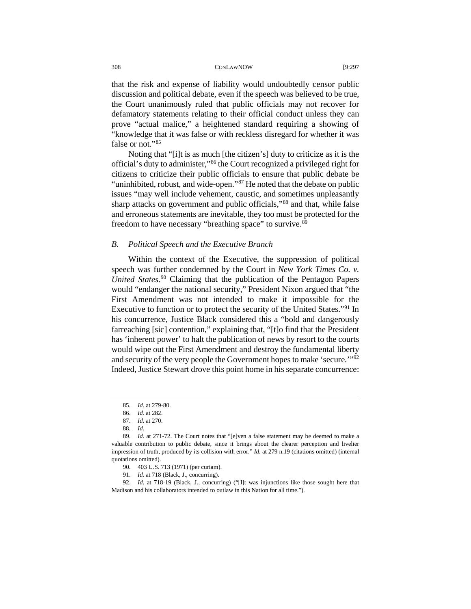that the risk and expense of liability would undoubtedly censor public discussion and political debate, even if the speech was believed to be true, the Court unanimously ruled that public officials may not recover for defamatory statements relating to their official conduct unless they can prove "actual malice," a heightened standard requiring a showing of "knowledge that it was false or with reckless disregard for whether it was false or not."[85](#page-11-0)

Noting that "[i]t is as much [the citizen's] duty to criticize as it is the official's duty to administer,"[86](#page-11-1) the Court recognized a privileged right for citizens to criticize their public officials to ensure that public debate be "uninhibited, robust, and wide-open."[87](#page-11-2) He noted that the debate on public issues "may well include vehement, caustic, and sometimes unpleasantly sharp attacks on government and public officials,"<sup>[88](#page-11-3)</sup> and that, while false and erroneous statements are inevitable, they too must be protected for the freedom to have necessary "breathing space" to survive.<sup>[89](#page-11-4)</sup>

#### *B. Political Speech and the Executive Branch*

Within the context of the Executive, the suppression of political speech was further condemned by the Court in *New York Times Co. v. United States*. [90](#page-11-5) Claiming that the publication of the Pentagon Papers would "endanger the national security," President Nixon argued that "the First Amendment was not intended to make it impossible for the Executive to function or to protect the security of the United States."[91](#page-11-6) In his concurrence, Justice Black considered this a "bold and dangerously farreaching [sic] contention," explaining that, "[t]o find that the President has 'inherent power' to halt the publication of news by resort to the courts would wipe out the First Amendment and destroy the fundamental liberty and security of the very people the Government hopes to make 'secure.'"[92](#page-11-7) Indeed, Justice Stewart drove this point home in his separate concurrence:

<sup>85.</sup> *Id.* at 279-80.

<sup>86.</sup> *Id.* at 282.

<sup>87.</sup> *Id.* at 270.

<sup>88.</sup> *Id.*

<span id="page-11-4"></span><span id="page-11-3"></span><span id="page-11-2"></span><span id="page-11-1"></span><span id="page-11-0"></span><sup>89.</sup> *Id.* at 271-72. The Court notes that "[e]ven a false statement may be deemed to make a valuable contribution to public debate, since it brings about the clearer perception and livelier impression of truth, produced by its collision with error." *Id.* at 279 n.19 (citations omitted) (internal quotations omitted).

<sup>90.</sup> 403 U.S. 713 (1971) (per curiam).

<sup>91.</sup> *Id.* at 718 (Black, J., concurring).

<span id="page-11-7"></span><span id="page-11-6"></span><span id="page-11-5"></span><sup>92.</sup> *Id.* at 718-19 (Black, J., concurring) ("[I]t was injunctions like those sought here that Madison and his collaborators intended to outlaw in this Nation for all time.").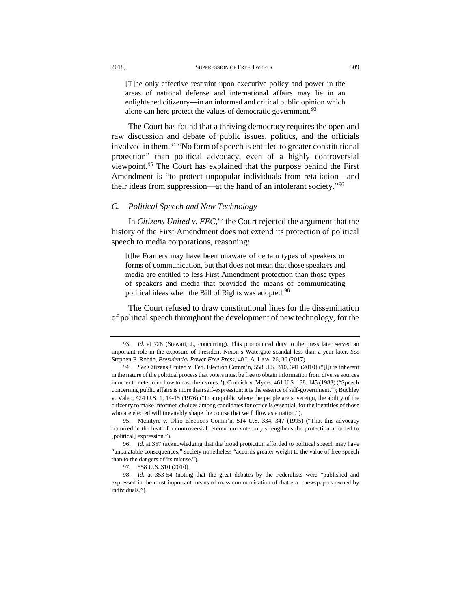[T]he only effective restraint upon executive policy and power in the areas of national defense and international affairs may lie in an enlightened citizenry—in an informed and critical public opinion which alone can here protect the values of democratic government.<sup>[93](#page-12-0)</sup>

The Court has found that a thriving democracy requires the open and raw discussion and debate of public issues, politics, and the officials involved in them.<sup>[94](#page-12-1)</sup> "No form of speech is entitled to greater constitutional protection" than political advocacy, even of a highly controversial viewpoint.[95](#page-12-2) The Court has explained that the purpose behind the First Amendment is "to protect unpopular individuals from retaliation—and their ideas from suppression—at the hand of an intolerant society."[96](#page-12-3)

# *C. Political Speech and New Technology*

In *Citizens United v. FEC*, [97](#page-12-4) the Court rejected the argument that the history of the First Amendment does not extend its protection of political speech to media corporations, reasoning:

[t]he Framers may have been unaware of certain types of speakers or forms of communication, but that does not mean that those speakers and media are entitled to less First Amendment protection than those types of speakers and media that provided the means of communicating political ideas when the Bill of Rights was adopted.<sup>[98](#page-12-5)</sup>

The Court refused to draw constitutional lines for the dissemination of political speech throughout the development of new technology, for the

<span id="page-12-0"></span><sup>93.</sup> *Id.* at 728 (Stewart, J., concurring). This pronounced duty to the press later served an important role in the exposure of President Nixon's Watergate scandal less than a year later. *See*  Stephen F. Rohde, *Presidential Power Free Press*, 40 L.A. LAW. 26, 30 (2017).

<span id="page-12-1"></span><sup>94.</sup> *See* Citizens United v. Fed. Election Comm'n, 558 U.S. 310, 341 (2010) ("[I]t is inherent in the nature of the political process that voters must be free to obtain information from diverse sources in order to determine how to cast their votes."); Connick v. Myers, 461 U.S. 138, 145 (1983) ("Speech concerning public affairs is more than self-expression; it is the essence of self-government."); Buckley v. Valeo, 424 U.S. 1, 14-15 (1976) ("In a republic where the people are sovereign, the ability of the citizenry to make informed choices among candidates for office is essential, for the identities of those who are elected will inevitably shape the course that we follow as a nation.").

<span id="page-12-2"></span><sup>95.</sup> McIntyre v. Ohio Elections Comm'n, 514 U.S. 334, 347 (1995) ("That this advocacy occurred in the heat of a controversial referendum vote only strengthens the protection afforded to [political] expression.").

<span id="page-12-3"></span><sup>96.</sup> *Id.* at 357 (acknowledging that the broad protection afforded to political speech may have "unpalatable consequences," society nonetheless "accords greater weight to the value of free speech than to the dangers of its misuse.").

<sup>97.</sup> 558 U.S. 310 (2010).

<span id="page-12-5"></span><span id="page-12-4"></span><sup>98.</sup> *Id.* at 353-54 (noting that the great debates by the Federalists were "published and expressed in the most important means of mass communication of that era—newspapers owned by individuals.").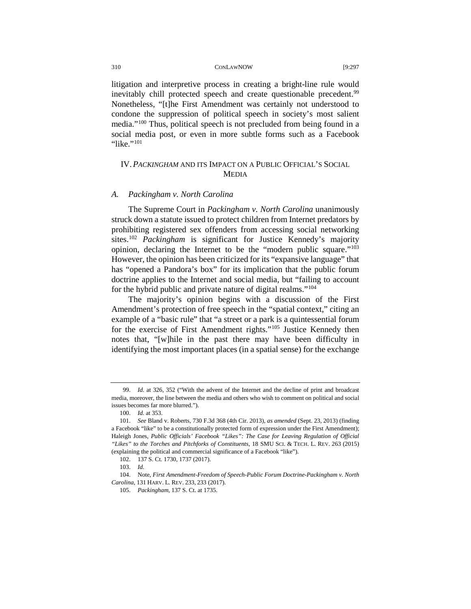litigation and interpretive process in creating a bright-line rule would inevitably chill protected speech and create questionable precedent.<sup>[99](#page-13-0)</sup> Nonetheless, "[t]he First Amendment was certainly not understood to condone the suppression of political speech in society's most salient media."[100](#page-13-1) Thus, political speech is not precluded from being found in a social media post, or even in more subtle forms such as a Facebook "like."<sup>101</sup>

# IV.*PACKINGHAM* AND ITS IMPACT ON A PUBLIC OFFICIAL'S SOCIAL MEDIA

# *A. Packingham v. North Carolina*

The Supreme Court in *Packingham v. North Carolina* unanimously struck down a statute issued to protect children from Internet predators by prohibiting registered sex offenders from accessing social networking sites.[102](#page-13-3) *Packingham* is significant for Justice Kennedy's majority opinion, declaring the Internet to be the "modern public square.["103](#page-13-4) However, the opinion has been criticized for its "expansive language" that has "opened a Pandora's box" for its implication that the public forum doctrine applies to the Internet and social media, but "failing to account for the hybrid public and private nature of digital realms."[104](#page-13-5)

The majority's opinion begins with a discussion of the First Amendment's protection of free speech in the "spatial context," citing an example of a "basic rule" that "a street or a park is a quintessential forum for the exercise of First Amendment rights."[105](#page-13-6) Justice Kennedy then notes that, "[w]hile in the past there may have been difficulty in identifying the most important places (in a spatial sense) for the exchange

<span id="page-13-0"></span><sup>99.</sup> *Id.* at 326, 352 ("With the advent of the Internet and the decline of print and broadcast media, moreover, the line between the media and others who wish to comment on political and social issues becomes far more blurred.").

<sup>100.</sup> *Id.* at 353.

<span id="page-13-2"></span><span id="page-13-1"></span><sup>101.</sup> *See* Bland v. Roberts, 730 F.3d 368 (4th Cir. 2013), *as amended* (Sept. 23, 2013) (finding a Facebook "like" to be a constitutionally protected form of expression under the First Amendment); Haleigh Jones, *Public Officials' Facebook "Likes": The Case for Leaving Regulation of Official "Likes" to the Torches and Pitchforks of Constituents*, 18 SMU SCI. & TECH. L. REV. 263 (2015) (explaining the political and commercial significance of a Facebook "like").

<sup>102. 137</sup> S. Ct. 1730, 1737 (2017).

<sup>103.</sup> *Id.* 

<span id="page-13-6"></span><span id="page-13-5"></span><span id="page-13-4"></span><span id="page-13-3"></span><sup>104.</sup> Note, *First Amendment-Freedom of Speech-Public Forum Doctrine-Packingham v. North Carolina*, 131 HARV. L. REV. 233, 233 (2017).

<sup>105.</sup> *Packingham*, 137 S. Ct. at 1735.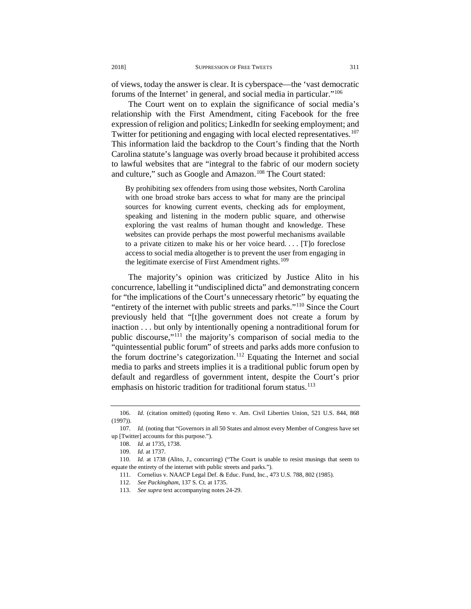of views, today the answer is clear. It is cyberspace—the 'vast democratic forums of the Internet' in general, and social media in particular."[106](#page-14-0)

The Court went on to explain the significance of social media's relationship with the First Amendment, citing Facebook for the free expression of religion and politics; LinkedIn for seeking employment; and Twitter for petitioning and engaging with local elected representatives.<sup>107</sup> This information laid the backdrop to the Court's finding that the North Carolina statute's language was overly broad because it prohibited access to lawful websites that are "integral to the fabric of our modern society and culture," such as Google and Amazon.<sup>[108](#page-14-2)</sup> The Court stated:

By prohibiting sex offenders from using those websites, North Carolina with one broad stroke bars access to what for many are the principal sources for knowing current events, checking ads for employment, speaking and listening in the modern public square, and otherwise exploring the vast realms of human thought and knowledge. These websites can provide perhaps the most powerful mechanisms available to a private citizen to make his or her voice heard. . . . [T]o foreclose access to social media altogether is to prevent the user from engaging in the legitimate exercise of First Amendment rights.<sup>[109](#page-14-3)</sup>

The majority's opinion was criticized by Justice Alito in his concurrence, labelling it "undisciplined dicta" and demonstrating concern for "the implications of the Court's unnecessary rhetoric" by equating the "entirety of the internet with public streets and parks."[110](#page-14-4) Since the Court previously held that "[t]he government does not create a forum by inaction . . . but only by intentionally opening a nontraditional forum for public discourse,"[111](#page-14-5) the majority's comparison of social media to the "quintessential public forum" of streets and parks adds more confusion to the forum doctrine's categorization.<sup>[112](#page-14-6)</sup> Equating the Internet and social media to parks and streets implies it is a traditional public forum open by default and regardless of government intent, despite the Court's prior emphasis on historic tradition for traditional forum status.<sup>[113](#page-14-7)</sup>

<span id="page-14-0"></span><sup>106.</sup> *Id.* (citation omitted) (quoting Reno v. Am. Civil Liberties Union, 521 U.S. 844, 868 (1997)).

<span id="page-14-2"></span><span id="page-14-1"></span><sup>107.</sup> *Id.* (noting that "Governors in all 50 States and almost every Member of Congress have set up [Twitter] accounts for this purpose.").

<sup>108.</sup> *Id.* at 1735, 1738.

<sup>109.</sup> *Id.* at 1737.

<span id="page-14-7"></span><span id="page-14-6"></span><span id="page-14-5"></span><span id="page-14-4"></span><span id="page-14-3"></span><sup>110.</sup> *Id.* at 1738 (Alito, J., concurring) ("The Court is unable to resist musings that seem to equate the entirety of the internet with public streets and parks.").

<sup>111.</sup> Cornelius v. NAACP Legal Def. & Educ. Fund, Inc., 473 U.S. 788, 802 (1985).

<sup>112.</sup> *See Packingham*, 137 S. Ct. at 1735.

<sup>113.</sup> *See supra* text accompanying notes 24-29.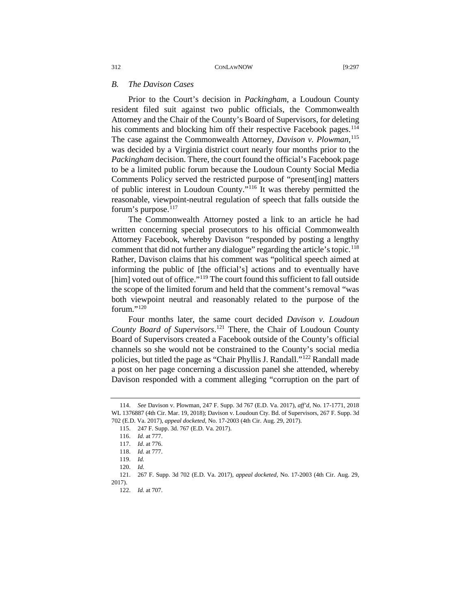# *B. The Davison Cases*

Prior to the Court's decision in *Packingham*, a Loudoun County resident filed suit against two public officials, the Commonwealth Attorney and the Chair of the County's Board of Supervisors, for deleting his comments and blocking him off their respective Facebook pages.<sup>114</sup> The case against the Commonwealth Attorney, *Davison v. Plowman*, [115](#page-15-1) was decided by a Virginia district court nearly four months prior to the *Packingham* decision. There, the court found the official's Facebook page to be a limited public forum because the Loudoun County Social Media Comments Policy served the restricted purpose of "present[ing] matters of public interest in Loudoun County."[116](#page-15-2) It was thereby permitted the reasonable, viewpoint-neutral regulation of speech that falls outside the forum's purpose. $117$ 

The Commonwealth Attorney posted a link to an article he had written concerning special prosecutors to his official Commonwealth Attorney Facebook, whereby Davison "responded by posting a lengthy comment that did not further any dialogue" regarding the article's topic.<sup>118</sup> Rather, Davison claims that his comment was "political speech aimed at informing the public of [the official's] actions and to eventually have [him] voted out of office."<sup>[119](#page-15-5)</sup> The court found this sufficient to fall outside the scope of the limited forum and held that the comment's removal "was both viewpoint neutral and reasonably related to the purpose of the forum." $120$ 

Four months later, the same court decided *Davison v. Loudoun County Board of Supervisors*. [121](#page-15-7) There, the Chair of Loudoun County Board of Supervisors created a Facebook outside of the County's official channels so she would not be constrained to the County's social media policies, but titled the page as "Chair Phyllis J. Randall."[122](#page-15-8) Randall made a post on her page concerning a discussion panel she attended, whereby Davison responded with a comment alleging "corruption on the part of

<span id="page-15-2"></span><span id="page-15-1"></span><span id="page-15-0"></span><sup>114.</sup> *See* Davison v. Plowman, 247 F. Supp. 3d 767 (E.D. Va. 2017), *aff'd,* No. 17-1771, 2018 WL 1376887 (4th Cir. Mar. 19, 2018); Davison v. Loudoun Cty. Bd. of Supervisors, 267 F. Supp. 3d 702 (E.D. Va. 2017), *appeal docketed,* No. 17-2003 (4th Cir. Aug. 29, 2017).

<sup>115. 247</sup> F. Supp. 3d. 767 (E.D. Va. 2017).

<sup>116.</sup> *Id.* at 777.

<sup>117.</sup> *Id*. at 776.

<sup>118.</sup> *Id.* at 777.

<sup>119.</sup> *Id.*

<sup>120.</sup> *Id.* 

<span id="page-15-8"></span><span id="page-15-7"></span><span id="page-15-6"></span><span id="page-15-5"></span><span id="page-15-4"></span><span id="page-15-3"></span><sup>121. 267</sup> F. Supp. 3d 702 (E.D. Va. 2017), *appeal docketed,* No. 17-2003 (4th Cir. Aug. 29, 2017).

<sup>122.</sup> *Id.* at 707.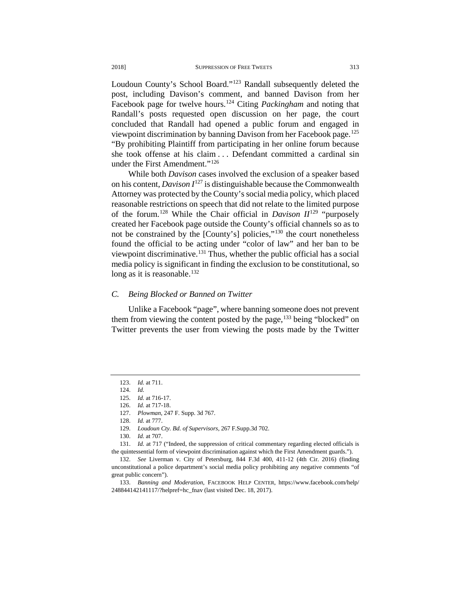Loudoun County's School Board."[123](#page-16-0) Randall subsequently deleted the post, including Davison's comment, and banned Davison from her Facebook page for twelve hours.[124](#page-16-1) Citing *Packingham* and noting that Randall's posts requested open discussion on her page, the court concluded that Randall had opened a public forum and engaged in viewpoint discrimination by banning Davison from her Facebook page.[125](#page-16-2) "By prohibiting Plaintiff from participating in her online forum because she took offense at his claim . . . Defendant committed a cardinal sin under the First Amendment."<sup>[126](#page-16-3)</sup>

While both *Davison* cases involved the exclusion of a speaker based on his content, *Davison I*[127](#page-16-4) is distinguishable because the Commonwealth Attorney was protected by the County's social media policy, which placed reasonable restrictions on speech that did not relate to the limited purpose of the forum.<sup>[128](#page-16-5)</sup> While the Chair official in *Davison II*<sup>[129](#page-16-6)</sup> "purposely created her Facebook page outside the County's official channels so as to not be constrained by the [County's] policies,"[130](#page-16-7) the court nonetheless found the official to be acting under "color of law" and her ban to be viewpoint discriminative.<sup>[131](#page-16-8)</sup> Thus, whether the public official has a social media policy is significant in finding the exclusion to be constitutional, so long as it is reasonable.<sup>132</sup>

#### *C. Being Blocked or Banned on Twitter*

Unlike a Facebook "page", where banning someone does not prevent them from viewing the content posted by the page,  $^{133}$  being "blocked" on Twitter prevents the user from viewing the posts made by the Twitter

<span id="page-16-0"></span><sup>123.</sup> *Id.* at 711.

<span id="page-16-2"></span><span id="page-16-1"></span><sup>124.</sup> *Id.*

<sup>125.</sup> *Id.* at 716-17.

<sup>126.</sup> *Id.* at 717-18.

<sup>127.</sup> *Plowman*, 247 F. Supp. 3d 767.

<sup>128.</sup> *Id.* at 777.

<sup>129.</sup> *Loudoun Cty. Bd. of Supervisors*, 267 F.Supp.3d 702.

<sup>130.</sup> *Id.* at 707.

<span id="page-16-8"></span><span id="page-16-7"></span><span id="page-16-6"></span><span id="page-16-5"></span><span id="page-16-4"></span><span id="page-16-3"></span><sup>131.</sup> *Id.* at 717 ("Indeed, the suppression of critical commentary regarding elected officials is the quintessential form of viewpoint discrimination against which the First Amendment guards.").

<span id="page-16-9"></span><sup>132.</sup> *See* Liverman v. City of Petersburg, 844 F.3d 400, 411-12 (4th Cir. 2016) (finding unconstitutional a police department's social media policy prohibiting any negative comments "of great public concern").

<span id="page-16-10"></span><sup>133.</sup> *Banning and Moderation*, FACEBOOK HELP CENTER, https://www.facebook.com/help/ 248844142141117/?helpref=hc\_fnav (last visited Dec. 18, 2017).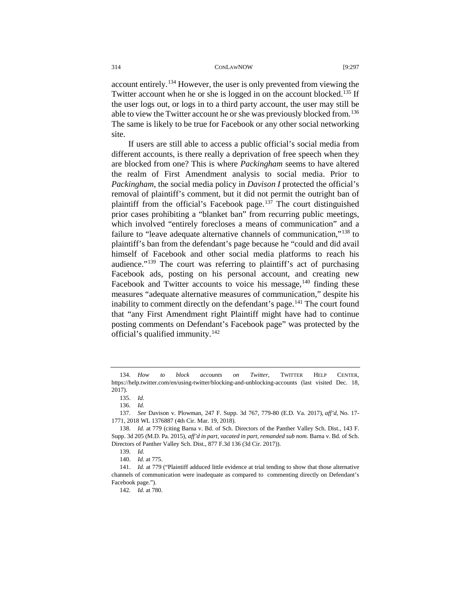account entirely.[134](#page-17-0) However, the user is only prevented from viewing the Twitter account when he or she is logged in on the account blocked.<sup>[135](#page-17-1)</sup> If the user logs out, or logs in to a third party account, the user may still be able to view the Twitter account he or she was previously blocked from.<sup>[136](#page-17-2)</sup> The same is likely to be true for Facebook or any other social networking site.

If users are still able to access a public official's social media from different accounts, is there really a deprivation of free speech when they are blocked from one? This is where *Packingham* seems to have altered the realm of First Amendment analysis to social media. Prior to *Packingham*, the social media policy in *Davison I* protected the official's removal of plaintiff's comment, but it did not permit the outright ban of plaintiff from the official's Facebook page.<sup>[137](#page-17-3)</sup> The court distinguished prior cases prohibiting a "blanket ban" from recurring public meetings, which involved "entirely forecloses a means of communication" and a failure to "leave adequate alternative channels of communication,["138](#page-17-4) to plaintiff's ban from the defendant's page because he "could and did avail himself of Facebook and other social media platforms to reach his audience."[139](#page-17-5) The court was referring to plaintiff's act of purchasing Facebook ads, posting on his personal account, and creating new Facebook and Twitter accounts to voice his message,  $140$  finding these measures "adequate alternative measures of communication," despite his inability to comment directly on the defendant's page.<sup>[141](#page-17-7)</sup> The court found that "any First Amendment right Plaintiff might have had to continue posting comments on Defendant's Facebook page" was protected by the official's qualified immunity.<sup>[142](#page-17-8)</sup>

<span id="page-17-0"></span><sup>134.</sup> *How to block accounts on Twitter*, TWITTER HELP CENTER, https://help.twitter.com/en/using-twitter/blocking-and-unblocking-accounts (last visited Dec. 18, 2017).

<sup>135.</sup> *Id.*

<sup>136.</sup> *Id.*

<span id="page-17-3"></span><span id="page-17-2"></span><span id="page-17-1"></span><sup>137.</sup> *See* Davison v. Plowman, 247 F. Supp. 3d 767, 779-80 (E.D. Va. 2017), *aff'd,* No. 17- 1771, 2018 WL 1376887 (4th Cir. Mar. 19, 2018).

<span id="page-17-4"></span><sup>138.</sup> *Id.* at 779 (citing Barna v. Bd. of Sch. Directors of the Panther Valley Sch. Dist*.*, 143 F. Supp. 3d 205 (M.D. Pa. 2015), *aff'd in part, vacated in part, remanded sub nom.* Barna v. Bd. of Sch. Directors of Panther Valley Sch. Dist., 877 F.3d 136 (3d Cir. 2017)).

<sup>139.</sup> *Id.*

<sup>140.</sup> *Id.* at 775.

<span id="page-17-8"></span><span id="page-17-7"></span><span id="page-17-6"></span><span id="page-17-5"></span><sup>141.</sup> *Id.* at 779 ("Plaintiff adduced little evidence at trial tending to show that those alternative channels of communication were inadequate as compared to commenting directly on Defendant's Facebook page.").

<sup>142.</sup> *Id.* at 780.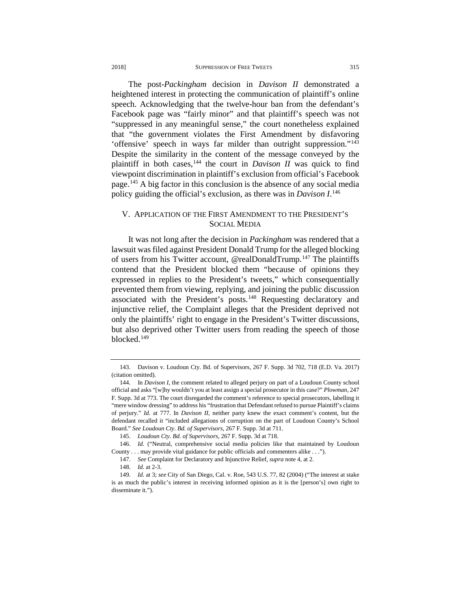The post-*Packingham* decision in *Davison II* demonstrated a heightened interest in protecting the communication of plaintiff's online speech. Acknowledging that the twelve-hour ban from the defendant's Facebook page was "fairly minor" and that plaintiff's speech was not "suppressed in any meaningful sense," the court nonetheless explained that "the government violates the First Amendment by disfavoring 'offensive' speech in ways far milder than outright suppression.["143](#page-18-0) Despite the similarity in the content of the message conveyed by the plaintiff in both cases,  $144$  the court in *Davison II* was quick to find viewpoint discrimination in plaintiff's exclusion from official's Facebook page.[145](#page-18-2) A big factor in this conclusion is the absence of any social media policy guiding the official's exclusion, as there was in *Davison I*. [146](#page-18-3)

# V. APPLICATION OF THE FIRST AMENDMENT TO THE PRESIDENT'S SOCIAL MEDIA

It was not long after the decision in *Packingham* was rendered that a lawsuit was filed against President Donald Trump for the alleged blocking of users from his Twitter account, @realDonaldTrump.[147](#page-18-4) The plaintiffs contend that the President blocked them "because of opinions they expressed in replies to the President's tweets," which consequentially prevented them from viewing, replying, and joining the public discussion associated with the President's posts.<sup>[148](#page-18-5)</sup> Requesting declaratory and injunctive relief, the Complaint alleges that the President deprived not only the plaintiffs' right to engage in the President's Twitter discussions, but also deprived other Twitter users from reading the speech of those blocked.[149](#page-18-6)

<span id="page-18-0"></span><sup>143.</sup> Davison v. Loudoun Cty. Bd. of Supervisors, 267 F. Supp. 3d 702, 718 (E.D. Va. 2017) (citation omitted).

<span id="page-18-1"></span><sup>144.</sup> In *Davison I*, the comment related to alleged perjury on part of a Loudoun County school official and asks "[w]hy wouldn't you at least assign a special prosecutor in this case?" *Plowman*, 247 F. Supp. 3d at 773. The court disregarded the comment's reference to special prosecutors, labelling it "mere window dressing" to address his "frustration that Defendant refused to pursue Plaintiff's claims of perjury." *Id.* at 777. In *Davison II*, neither party knew the exact comment's content, but the defendant recalled it "included allegations of corruption on the part of Loudoun County's School Board." *See Loudoun Cty. Bd. of Supervisors*, 267 F. Supp. 3d at 711.

<sup>145.</sup> *Loudoun Cty. Bd. of Supervisors*, 267 F. Supp. 3d at 718.

<span id="page-18-4"></span><span id="page-18-3"></span><span id="page-18-2"></span><sup>146.</sup> *Id.* ("Neutral, comprehensive social media policies like that maintained by Loudoun County . . . may provide vital guidance for public officials and commenters alike . . .").

<sup>147.</sup> *See* Complaint for Declaratory and Injunctive Relief, *supra* not[e 4,](#page-0-6) at 2.

<sup>148.</sup> *Id.* at 2-3.

<span id="page-18-6"></span><span id="page-18-5"></span><sup>149.</sup> *Id.* at 3; *see* City of San Diego, Cal. v. Roe, 543 U.S. 77, 82 (2004) ("The interest at stake is as much the public's interest in receiving informed opinion as it is the [person's] own right to disseminate it.").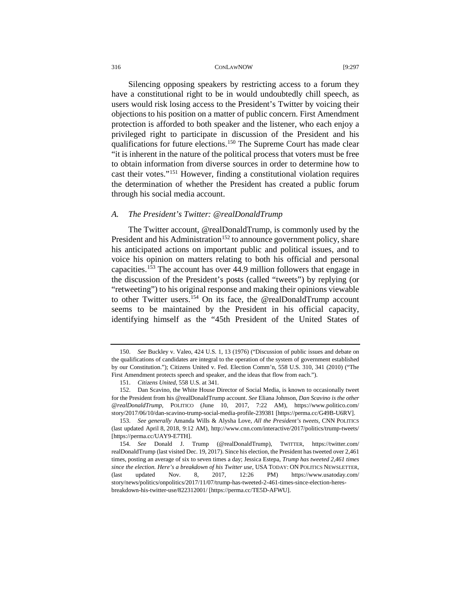Silencing opposing speakers by restricting access to a forum they have a constitutional right to be in would undoubtedly chill speech, as users would risk losing access to the President's Twitter by voicing their objections to his position on a matter of public concern. First Amendment protection is afforded to both speaker and the listener, who each enjoy a privileged right to participate in discussion of the President and his qualifications for future elections.<sup>[150](#page-19-0)</sup> The Supreme Court has made clear "it is inherent in the nature of the political process that voters must be free to obtain information from diverse sources in order to determine how to cast their votes."[151](#page-19-1) However, finding a constitutional violation requires the determination of whether the President has created a public forum through his social media account.

#### *A. The President's Twitter: @realDonaldTrump*

The Twitter account, @realDonaldTrump, is commonly used by the President and his Administration<sup>[152](#page-19-2)</sup> to announce government policy, share his anticipated actions on important public and political issues, and to voice his opinion on matters relating to both his official and personal capacities.[153](#page-19-3) The account has over 44.9 million followers that engage in the discussion of the President's posts (called "tweets") by replying (or "retweeting") to his original response and making their opinions viewable to other Twitter users.<sup>[154](#page-19-4)</sup> On its face, the @realDonaldTrump account seems to be maintained by the President in his official capacity, identifying himself as the "45th President of the United States of

<span id="page-19-0"></span><sup>150.</sup> *See* Buckley v. Valeo, 424 U.S. 1, 13 (1976) ("Discussion of public issues and debate on the qualifications of candidates are integral to the operation of the system of government established by our Constitution."); Citizens United v. Fed. Election Comm'n, 558 U.S. 310, 341 (2010) ("The First Amendment protects speech and speaker, and the ideas that flow from each.").

<sup>151.</sup> *Citizens United*, 558 U.S. at 341.

<span id="page-19-2"></span><span id="page-19-1"></span><sup>152.</sup> Dan Scavino, the White House Director of Social Media, is known to occasionally tweet for the President from his @realDonaldTrump account. *See* Eliana Johnson, *Dan Scavino is the other @realDonaldTrump*, POLITICO (June 10, 2017, 7:22 AM), https://www.politico.com/ story/2017/06/10/dan-scavino-trump-social-media-profile-239381 [https://perma.cc/G49B-U6RV].

<span id="page-19-3"></span><sup>153.</sup> *See generally* Amanda Wills & Alysha Love, *All the President's tweets*, CNN POLITICS (last updated April 8, 2018, 9:12 AM), http://www.cnn.com/interactive/2017/politics/trump-tweets/ [https://perma.cc/UAY9-E7TH].

<span id="page-19-4"></span><sup>154.</sup> *See* Donald J. Trump (@realDonaldTrump), TWITTER, https://twitter.com/ realDonaldTrump (last visited Dec. 19, 2017). Since his election, the President has tweeted over 2,461 times, posting an average of six to seven times a day; Jessica Estepa, *Trump has tweeted 2,461 times since the election. Here's a breakdown of his Twitter use*, USA TODAY: ON POLITICS NEWSLETTER, (last updated Nov. 8, 2017, 12:26 PM) https://www.usatoday.com/ story/news/politics/onpolitics/2017/11/07/trump-has-tweeted-2-461-times-since-election-heresbreakdown-his-twitter-use/822312001/ [https://perma.cc/TE5D-AFWU].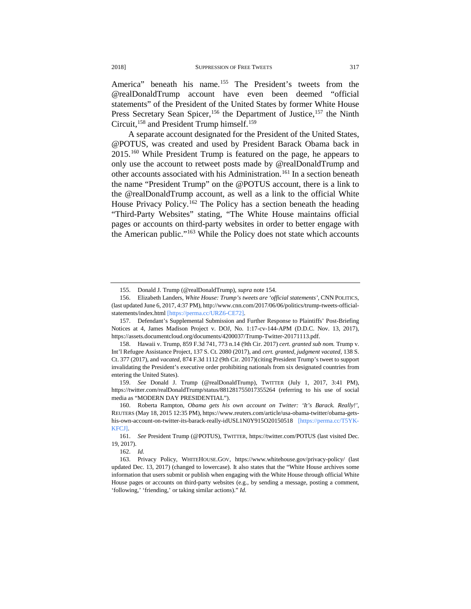America" beneath his name.<sup>[155](#page-20-0)</sup> The President's tweets from the @realDonaldTrump account have even been deemed "official statements" of the President of the United States by former White House Press Secretary Sean Spicer,<sup>[156](#page-20-1)</sup> the Department of Justice,<sup>[157](#page-20-2)</sup> the Ninth Circuit,<sup>[158](#page-20-3)</sup> and President Trump himself.<sup>[159](#page-20-4)</sup>

A separate account designated for the President of the United States, @POTUS, was created and used by President Barack Obama back in 2015.[160](#page-20-5) While President Trump is featured on the page, he appears to only use the account to retweet posts made by @realDonaldTrump and other accounts associated with his Administration.<sup>[161](#page-20-6)</sup> In a section beneath the name "President Trump" on the @POTUS account, there is a link to the @realDonaldTrump account, as well as a link to the official White House Privacy Policy.<sup>[162](#page-20-7)</sup> The Policy has a section beneath the heading "Third-Party Websites" stating, "The White House maintains official pages or accounts on third-party websites in order to better engage with the American public."[163](#page-20-8) While the Policy does not state which accounts

<sup>155.</sup> Donald J. Trump (@realDonaldTrump), *supra* note 154.

<span id="page-20-1"></span><span id="page-20-0"></span><sup>156.</sup> Elizabeth Landers, *White House: Trump's tweets are 'official statements'*, CNN POLITICS, (last updated June 6, 2017, 4:37 PM), http://www.cnn.com/2017/06/06/politics/trump-tweets-officialstatements/index.html [https://perma.cc/URZ6-CE72].

<span id="page-20-2"></span><sup>157.</sup> Defendant's Supplemental Submission and Further Response to Plaintiffs' Post-Briefing Notices at 4, James Madison Project v. DOJ, No. 1:17-cv-144-APM (D.D.C. Nov. 13, 2017), https://assets.documentcloud.org/documents/4200037/Trump-Twitter-20171113.pdf.

<span id="page-20-3"></span><sup>158.</sup> Hawaii v. Trump, 859 F.3d 741, 773 n.14 (9th Cir. 2017) *cert. granted sub nom.* Trump v. Int'l Refugee Assistance Project, 137 S. Ct. 2080 (2017), and *cert. granted, judgment vacated,* 138 S. Ct. 377 (2017), and *vacated,* 874 F.3d 1112 (9th Cir. 2017)(citing President Trump's tweet to support invalidating the President's executive order prohibiting nationals from six designated countries from entering the United States).

<span id="page-20-4"></span><sup>159.</sup> *See* Donald J. Trump (@realDonaldTrump), TWITTER (July 1, 2017, 3:41 PM), https://twitter.com/realDonaldTrump/status/881281755017355264 (referring to his use of social media as "MODERN DAY PRESIDENTIAL").

<span id="page-20-5"></span><sup>160.</sup> Roberta Rampton, *Obama gets his own account on Twitter: 'It's Barack. Really!'*, REUTERS (May 18, 2015 12:35 PM), https://www.reuters.com/article/usa-obama-twitter/obama-getshis-own-account-on-twitter-its-barack-really-idUSL1N0Y915O20150518 [https://perma.cc/T5YK-KFCJ].

<span id="page-20-6"></span><sup>161.</sup> *See* President Trump (@POTUS), TWITTER, https://twitter.com/POTUS (last visited Dec. 19, 2017).

<sup>162.</sup> *Id.*

<span id="page-20-8"></span><span id="page-20-7"></span><sup>163.</sup> Privacy Policy, WHITEHOUSE.GOV, https://www.whitehouse.gov/privacy-policy/ (last updated Dec. 13, 2017) (changed to lowercase). It also states that the "White House archives some information that users submit or publish when engaging with the White House through official White House pages or accounts on third-party websites (e.g., by sending a message, posting a comment, 'following,' 'friending,' or taking similar actions)." *Id.*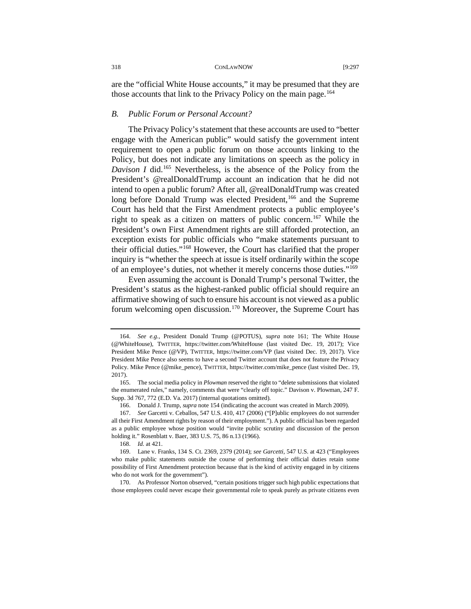are the "official White House accounts," it may be presumed that they are those accounts that link to the Privacy Policy on the main page.<sup>[164](#page-21-0)</sup>

# *B. Public Forum or Personal Account?*

The Privacy Policy's statement that these accounts are used to "better engage with the American public" would satisfy the government intent requirement to open a public forum on those accounts linking to the Policy, but does not indicate any limitations on speech as the policy in *Davison I* did.[165](#page-21-1) Nevertheless, is the absence of the Policy from the President's @realDonaldTrump account an indication that he did not intend to open a public forum? After all, @realDonaldTrump was created long before Donald Trump was elected President,<sup>[166](#page-21-2)</sup> and the Supreme Court has held that the First Amendment protects a public employee's right to speak as a citizen on matters of public concern.[167](#page-21-3) While the President's own First Amendment rights are still afforded protection, an exception exists for public officials who "make statements pursuant to their official duties."[168](#page-21-4) However, the Court has clarified that the proper inquiry is "whether the speech at issue is itself ordinarily within the scope of an employee's duties, not whether it merely concerns those duties."<sup>[169](#page-21-5)</sup>

Even assuming the account is Donald Trump's personal Twitter, the President's status as the highest-ranked public official should require an affirmative showing of such to ensure his account is not viewed as a public forum welcoming open discussion.<sup>[170](#page-21-6)</sup> Moreover, the Supreme Court has

<span id="page-21-0"></span><sup>164.</sup> *See e.g.*, President Donald Trump (@POTUS), *supra* note 161; The White House (@WhiteHouse), TWITTER, https://twitter.com/WhiteHouse (last visited Dec. 19, 2017); Vice President Mike Pence (@VP), TWITTER, https://twitter.com/VP (last visited Dec. 19, 2017). Vice President Mike Pence also seems to have a second Twitter account that does not feature the Privacy Policy. Mike Pence (@mike\_pence), TWITTER, https://twitter.com/mike\_pence (last visited Dec. 19, 2017).

<span id="page-21-1"></span><sup>165.</sup> The social media policy in *Plowman* reserved the right to "delete submissions that violated the enumerated rules," namely, comments that were "clearly off topic." Davison v. Plowman, 247 F. Supp. 3d 767, 772 (E.D. Va. 2017) (internal quotations omitted).

<sup>166.</sup> Donald J. Trump, *supra* note 154 (indicating the account was created in March 2009).

<span id="page-21-3"></span><span id="page-21-2"></span><sup>167.</sup> *See* Garcetti v. Ceballos, 547 U.S. 410, 417 (2006) ("[P]ublic employees do not surrender all their First Amendment rights by reason of their employment."). A public official has been regarded as a public employee whose position would "invite public scrutiny and discussion of the person holding it." Rosenblatt v. Baer, 383 U.S. 75, 86 n.13 (1966).

<sup>168.</sup> *Id.* at 421.

<span id="page-21-5"></span><span id="page-21-4"></span><sup>169.</sup> Lane v. Franks, 134 S. Ct. 2369, 2379 (2014); *see Garcetti*, 547 U.S. at 423 ("Employees who make public statements outside the course of performing their official duties retain some possibility of First Amendment protection because that is the kind of activity engaged in by citizens who do not work for the government").

<span id="page-21-6"></span><sup>170.</sup> As Professor Norton observed, "certain positions trigger such high public expectations that those employees could never escape their governmental role to speak purely as private citizens even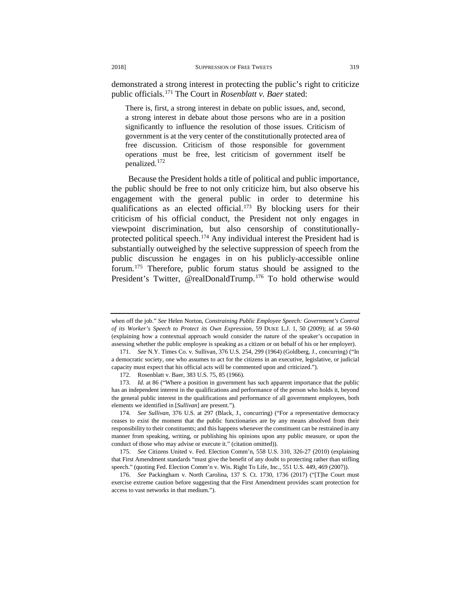demonstrated a strong interest in protecting the public's right to criticize public officials.[171](#page-22-0) The Court in *Rosenblatt v. Baer* stated:

There is, first, a strong interest in debate on public issues, and, second, a strong interest in debate about those persons who are in a position significantly to influence the resolution of those issues. Criticism of government is at the very center of the constitutionally protected area of free discussion. Criticism of those responsible for government operations must be free, lest criticism of government itself be penalized.[172](#page-22-1)

Because the President holds a title of political and public importance, the public should be free to not only criticize him, but also observe his engagement with the general public in order to determine his qualifications as an elected official.<sup>[173](#page-22-2)</sup> By blocking users for their criticism of his official conduct, the President not only engages in viewpoint discrimination, but also censorship of constitutionally-protected political speech.<sup>[174](#page-22-3)</sup> Any individual interest the President had is substantially outweighed by the selective suppression of speech from the public discussion he engages in on his publicly-accessible online forum.[175](#page-22-4) Therefore, public forum status should be assigned to the President's Twitter, @realDonaldTrump.<sup>[176](#page-22-5)</sup> To hold otherwise would

when off the job." *See* Helen Norton, *Constraining Public Employee Speech: Government's Control of its Worker's Speech to Protect its Own Expression*, 59 DUKE L.J. 1, 50 (2009); *id.* at 59-60 (explaining how a contextual approach would consider the nature of the speaker's occupation in assessing whether the public employee is speaking as a citizen or on behalf of his or her employer).

<span id="page-22-1"></span><span id="page-22-0"></span><sup>171.</sup> *See* N.Y. Times Co. v. Sullivan, 376 U.S. 254, 299 (1964) (Goldberg, J., concurring) ("In a democratic society, one who assumes to act for the citizens in an executive, legislative, or judicial capacity must expect that his official acts will be commented upon and criticized.").

<sup>172.</sup> Rosenblatt v. Baer, 383 U.S. 75, 85 (1966).

<span id="page-22-2"></span><sup>173.</sup> *Id.* at 86 ("Where a position in government has such apparent importance that the public has an independent interest in the qualifications and performance of the person who holds it, beyond the general public interest in the qualifications and performance of all government employees, both elements we identified in [*Sullivan*] are present.").

<span id="page-22-3"></span><sup>174.</sup> *See Sullivan*, 376 U.S. at 297 (Black, J., concurring) ("For a representative democracy ceases to exist the moment that the public functionaries are by any means absolved from their responsibility to their constituents; and this happens whenever the constituent can be restrained in any manner from speaking, writing, or publishing his opinions upon any public measure, or upon the conduct of those who may advise or execute it." (citation omitted)).

<span id="page-22-4"></span><sup>175.</sup> *See* Citizens United v. Fed. Election Comm'n, 558 U.S. 310, 326-27 (2010) (explaining that First Amendment standards "must give the benefit of any doubt to protecting rather than stifling speech." (quoting Fed. Election Comm'n v. Wis. Right To Life, Inc., 551 U.S. 449, 469 (2007)).

<span id="page-22-5"></span><sup>176.</sup> *See* Packingham v. North Carolina, 137 S. Ct. 1730, 1736 (2017) ("[T]he Court must exercise extreme caution before suggesting that the First Amendment provides scant protection for access to vast networks in that medium.").